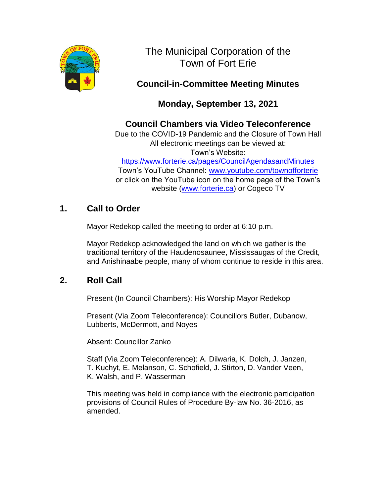

The Municipal Corporation of the Town of Fort Erie

# **Council-in-Committee Meeting Minutes**

# **Monday, September 13, 2021**

# **Council Chambers via Video Teleconference**

Due to the COVID-19 Pandemic and the Closure of Town Hall All electronic meetings can be viewed at: Town's Website:

<https://www.forterie.ca/pages/CouncilAgendasandMinutes> Town's YouTube Channel: [www.youtube.com/townofforterie](http://www.youtube.com/townofforterie) or click on the YouTube icon on the home page of the Town's

website [\(www.forterie.ca\)](http://www.forterie.ca/) or Cogeco TV

# **1. Call to Order**

Mayor Redekop called the meeting to order at 6:10 p.m.

Mayor Redekop acknowledged the land on which we gather is the traditional territory of the Haudenosaunee, Mississaugas of the Credit, and Anishinaabe people, many of whom continue to reside in this area.

# **2. Roll Call**

Present (In Council Chambers): His Worship Mayor Redekop

Present (Via Zoom Teleconference): Councillors Butler, Dubanow, Lubberts, McDermott, and Noyes

Absent: Councillor Zanko

Staff (Via Zoom Teleconference): A. Dilwaria, K. Dolch, J. Janzen, T. Kuchyt, E. Melanson, C. Schofield, J. Stirton, D. Vander Veen, K. Walsh, and P. Wasserman

This meeting was held in compliance with the electronic participation provisions of Council Rules of Procedure By-law No. 36-2016, as amended.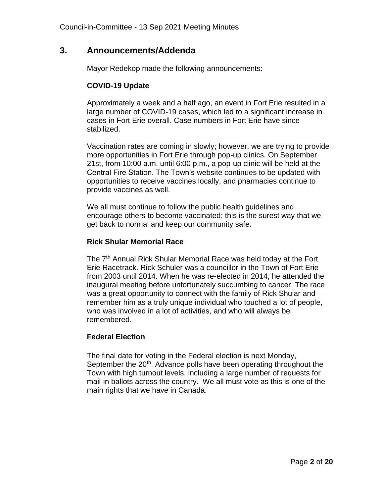### **3. Announcements/Addenda**

Mayor Redekop made the following announcements:

#### **COVID-19 Update**

Approximately a week and a half ago, an event in Fort Erie resulted in a large number of COVID-19 cases, which led to a significant increase in cases in Fort Erie overall. Case numbers in Fort Erie have since stabilized.

Vaccination rates are coming in slowly; however, we are trying to provide more opportunities in Fort Erie through pop-up clinics. On September 21st, from 10:00 a.m. until 6:00 p.m., a pop-up clinic will be held at the Central Fire Station. The Town's website continues to be updated with opportunities to receive vaccines locally, and pharmacies continue to provide vaccines as well.

We all must continue to follow the public health guidelines and encourage others to become vaccinated; this is the surest way that we get back to normal and keep our community safe.

#### **Rick Shular Memorial Race**

The 7<sup>th</sup> Annual Rick Shular Memorial Race was held today at the Fort Erie Racetrack. Rick Schuler was a councillor in the Town of Fort Erie from 2003 until 2014. When he was re-elected in 2014, he attended the inaugural meeting before unfortunately succumbing to cancer. The race was a great opportunity to connect with the family of Rick Shular and remember him as a truly unique individual who touched a lot of people, who was involved in a lot of activities, and who will always be remembered.

#### **Federal Election**

The final date for voting in the Federal election is next Monday, September the 20<sup>th</sup>. Advance polls have been operating throughout the Town with high turnout levels, including a large number of requests for mail-in ballots across the country. We all must vote as this is one of the main rights that we have in Canada.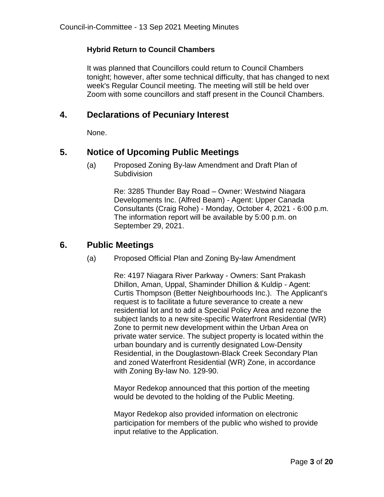#### **Hybrid Return to Council Chambers**

It was planned that Councillors could return to Council Chambers tonight; however, after some technical difficulty, that has changed to next week's Regular Council meeting. The meeting will still be held over Zoom with some councillors and staff present in the Council Chambers.

# **4. Declarations of Pecuniary Interest**

None.

# **5. Notice of Upcoming Public Meetings**

(a) Proposed Zoning By-law Amendment and Draft Plan of **Subdivision** 

> Re: 3285 Thunder Bay Road – Owner: Westwind Niagara Developments Inc. (Alfred Beam) - Agent: Upper Canada Consultants (Craig Rohe) - Monday, October 4, 2021 - 6:00 p.m. The information report will be available by 5:00 p.m. on September 29, 2021.

## **6. Public Meetings**

(a) Proposed Official Plan and Zoning By-law Amendment

Re: 4197 Niagara River Parkway - Owners: Sant Prakash Dhillon, Aman, Uppal, Shaminder Dhillion & Kuldip - Agent: Curtis Thompson (Better Neighbourhoods Inc.). The Applicant's request is to facilitate a future severance to create a new residential lot and to add a Special Policy Area and rezone the subject lands to a new site-specific Waterfront Residential (WR) Zone to permit new development within the Urban Area on private water service. The subject property is located within the urban boundary and is currently designated Low-Density Residential, in the Douglastown-Black Creek Secondary Plan and zoned Waterfront Residential (WR) Zone, in accordance with Zoning By-law No. 129-90.

Mayor Redekop announced that this portion of the meeting would be devoted to the holding of the Public Meeting.

Mayor Redekop also provided information on electronic participation for members of the public who wished to provide input relative to the Application.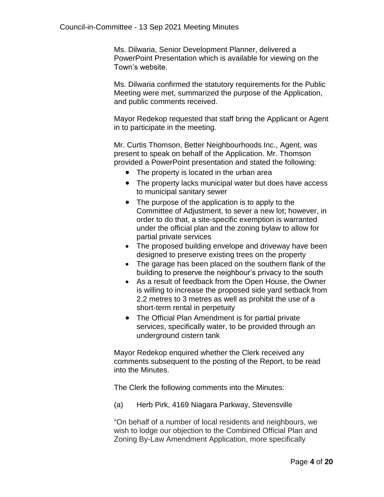Ms. Dilwaria, Senior Development Planner, delivered a PowerPoint Presentation which is available for viewing on the Town's website.

Ms. Dilwaria confirmed the statutory requirements for the Public Meeting were met, summarized the purpose of the Application, and public comments received.

Mayor Redekop requested that staff bring the Applicant or Agent in to participate in the meeting.

Mr. Curtis Thomson, Better Neighbourhoods Inc., Agent, was present to speak on behalf of the Application. Mr. Thomson provided a PowerPoint presentation and stated the following:

- The property is located in the urban area
- The property lacks municipal water but does have access to municipal sanitary sewer
- The purpose of the application is to apply to the Committee of Adjustment, to sever a new lot; however, in order to do that, a site-specific exemption is warranted under the official plan and the zoning bylaw to allow for partial private services
- The proposed building envelope and driveway have been designed to preserve existing trees on the property
- The garage has been placed on the southern flank of the building to preserve the neighbour's privacy to the south
- As a result of feedback from the Open House, the Owner is willing to increase the proposed side yard setback from 2.2 metres to 3 metres as well as prohibit the use of a short-term rental in perpetuity
- The Official Plan Amendment is for partial private services, specifically water, to be provided through an underground cistern tank

Mayor Redekop enquired whether the Clerk received any comments subsequent to the posting of the Report, to be read into the Minutes.

The Clerk the following comments into the Minutes:

(a) Herb Pirk, 4169 Niagara Parkway, Stevensville

"On behalf of a number of local residents and neighbours, we wish to lodge our objection to the Combined Official Plan and Zoning By-Law Amendment Application, more specifically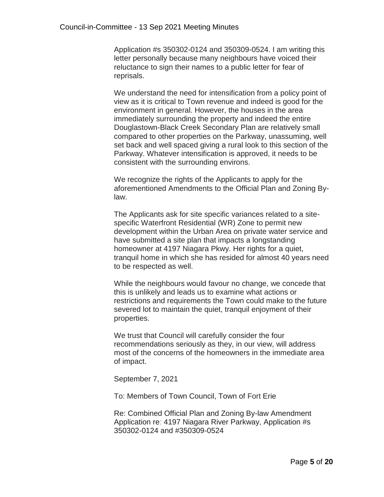Application #s 350302-0124 and 350309-0524. I am writing this letter personally because many neighbours have voiced their reluctance to sign their names to a public letter for fear of reprisals.

We understand the need for intensification from a policy point of view as it is critical to Town revenue and indeed is good for the environment in general. However, the houses in the area immediately surrounding the property and indeed the entire Douglastown-Black Creek Secondary Plan are relatively small compared to other properties on the Parkway, unassuming, well set back and well spaced giving a rural look to this section of the Parkway. Whatever intensification is approved, it needs to be consistent with the surrounding environs.

We recognize the rights of the Applicants to apply for the aforementioned Amendments to the Official Plan and Zoning Bylaw.

The Applicants ask for site specific variances related to a sitespecific Waterfront Residential (WR) Zone to permit new development within the Urban Area on private water service and have submitted a site plan that impacts a longstanding homeowner at 4197 Niagara Pkwy. Her rights for a quiet, tranquil home in which she has resided for almost 40 years need to be respected as well.

While the neighbours would favour no change, we concede that this is unlikely and leads us to examine what actions or restrictions and requirements the Town could make to the future severed lot to maintain the quiet, tranquil enjoyment of their properties.

We trust that Council will carefully consider the four recommendations seriously as they, in our view, will address most of the concerns of the homeowners in the immediate area of impact.

September 7, 2021

To: Members of Town Council, Town of Fort Erie

Re: Combined Official Plan and Zoning By-law Amendment Application re: 4197 Niagara River Parkway, Application #s 350302-0124 and #350309-0524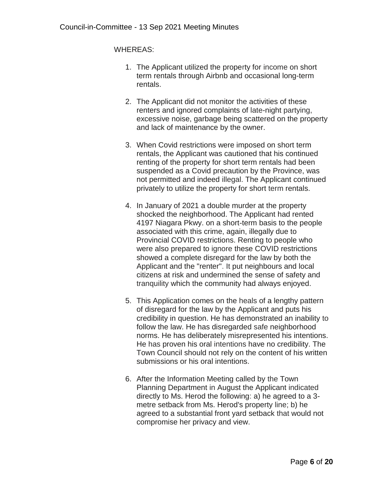WHEREAS:

- 1. The Applicant utilized the property for income on short term rentals through Airbnb and occasional long-term rentals.
- 2. The Applicant did not monitor the activities of these renters and ignored complaints of late-night partying, excessive noise, garbage being scattered on the property and lack of maintenance by the owner.
- 3. When Covid restrictions were imposed on short term rentals, the Applicant was cautioned that his continued renting of the property for short term rentals had been suspended as a Covid precaution by the Province, was not permitted and indeed illegal. The Applicant continued privately to utilize the property for short term rentals.
- 4. In January of 2021 a double murder at the property shocked the neighborhood. The Applicant had rented 4197 Niagara Pkwy. on a short-term basis to the people associated with this crime, again, illegally due to Provincial COVID restrictions. Renting to people who were also prepared to ignore these COVID restrictions showed a complete disregard for the law by both the Applicant and the "renter". It put neighbours and local citizens at risk and undermined the sense of safety and tranquility which the community had always enjoyed.
- 5. This Application comes on the heals of a lengthy pattern of disregard for the law by the Applicant and puts his credibility in question. He has demonstrated an inability to follow the law. He has disregarded safe neighborhood norms. He has deliberately misrepresented his intentions. He has proven his oral intentions have no credibility. The Town Council should not rely on the content of his written submissions or his oral intentions.
- 6. After the Information Meeting called by the Town Planning Department in August the Applicant indicated directly to Ms. Herod the following: a) he agreed to a 3 metre setback from Ms. Herod's property line; b) he agreed to a substantial front yard setback that would not compromise her privacy and view.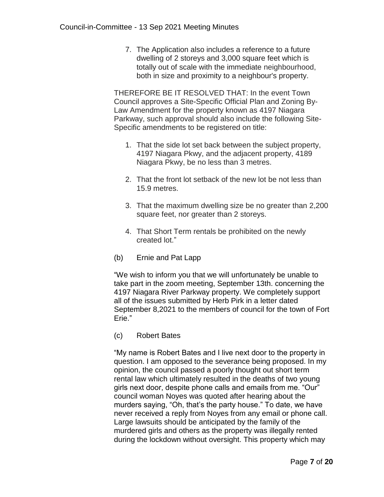7. The Application also includes a reference to a future dwelling of 2 storeys and 3,000 square feet which is totally out of scale with the immediate neighbourhood, both in size and proximity to a neighbour's property.

THEREFORE BE IT RESOLVED THAT: In the event Town Council approves a Site-Specific Official Plan and Zoning By-Law Amendment for the property known as 4197 Niagara Parkway, such approval should also include the following Site-Specific amendments to be registered on title:

- 1. That the side lot set back between the subject property, 4197 Niagara Pkwy, and the adjacent property, 4189 Niagara Pkwy, be no less than 3 metres.
- 2. That the front lot setback of the new lot be not less than 15.9 metres.
- 3. That the maximum dwelling size be no greater than 2,200 square feet, nor greater than 2 storeys.
- 4. That Short Term rentals be prohibited on the newly created lot."
- (b) Ernie and Pat Lapp

"We wish to inform you that we will unfortunately be unable to take part in the zoom meeting, September 13th. concerning the 4197 Niagara River Parkway property. We completely support all of the issues submitted by Herb Pirk in a letter dated September 8,2021 to the members of council for the town of Fort Erie."

(c) Robert Bates

"My name is Robert Bates and I live next door to the property in question. I am opposed to the severance being proposed. In my opinion, the council passed a poorly thought out short term rental law which ultimately resulted in the deaths of two young girls next door, despite phone calls and emails from me. "Our" council woman Noyes was quoted after hearing about the murders saying, "Oh, that's the party house." To date, we have never received a reply from Noyes from any email or phone call. Large lawsuits should be anticipated by the family of the murdered girls and others as the property was illegally rented during the lockdown without oversight. This property which may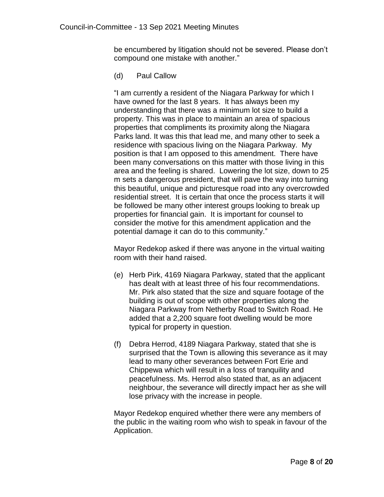be encumbered by litigation should not be severed. Please don't compound one mistake with another."

(d) Paul Callow

"I am currently a resident of the Niagara Parkway for which I have owned for the last 8 years. It has always been my understanding that there was a minimum lot size to build a property. This was in place to maintain an area of spacious properties that compliments its proximity along the Niagara Parks land. It was this that lead me, and many other to seek a residence with spacious living on the Niagara Parkway. My position is that I am opposed to this amendment. There have been many conversations on this matter with those living in this area and the feeling is shared. Lowering the lot size, down to 25 m sets a dangerous president, that will pave the way into turning this beautiful, unique and picturesque road into any overcrowded residential street. It is certain that once the process starts it will be followed be many other interest groups looking to break up properties for financial gain. It is important for counsel to consider the motive for this amendment application and the potential damage it can do to this community."

Mayor Redekop asked if there was anyone in the virtual waiting room with their hand raised.

- (e) Herb Pirk, 4169 Niagara Parkway, stated that the applicant has dealt with at least three of his four recommendations. Mr. Pirk also stated that the size and square footage of the building is out of scope with other properties along the Niagara Parkway from Netherby Road to Switch Road. He added that a 2,200 square foot dwelling would be more typical for property in question.
- (f) Debra Herrod, 4189 Niagara Parkway, stated that she is surprised that the Town is allowing this severance as it may lead to many other severances between Fort Erie and Chippewa which will result in a loss of tranquility and peacefulness. Ms. Herrod also stated that, as an adjacent neighbour, the severance will directly impact her as she will lose privacy with the increase in people.

Mayor Redekop enquired whether there were any members of the public in the waiting room who wish to speak in favour of the Application.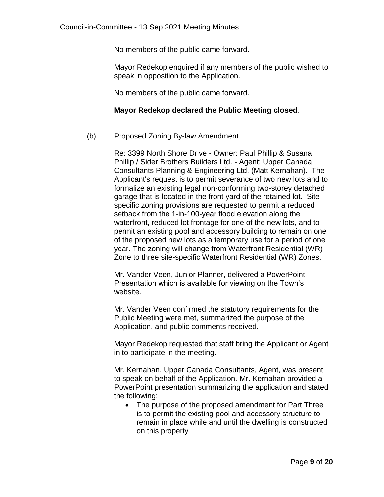No members of the public came forward.

Mayor Redekop enquired if any members of the public wished to speak in opposition to the Application.

No members of the public came forward.

#### **Mayor Redekop declared the Public Meeting closed**.

#### (b) Proposed Zoning By-law Amendment

Re: 3399 North Shore Drive - Owner: Paul Phillip & Susana Phillip / Sider Brothers Builders Ltd. - Agent: Upper Canada Consultants Planning & Engineering Ltd. (Matt Kernahan). The Applicant's request is to permit severance of two new lots and to formalize an existing legal non-conforming two-storey detached garage that is located in the front yard of the retained lot. Sitespecific zoning provisions are requested to permit a reduced setback from the 1-in-100-year flood elevation along the waterfront, reduced lot frontage for one of the new lots, and to permit an existing pool and accessory building to remain on one of the proposed new lots as a temporary use for a period of one year. The zoning will change from Waterfront Residential (WR) Zone to three site-specific Waterfront Residential (WR) Zones.

Mr. Vander Veen, Junior Planner, delivered a PowerPoint Presentation which is available for viewing on the Town's website.

Mr. Vander Veen confirmed the statutory requirements for the Public Meeting were met, summarized the purpose of the Application, and public comments received.

Mayor Redekop requested that staff bring the Applicant or Agent in to participate in the meeting.

Mr. Kernahan, Upper Canada Consultants, Agent, was present to speak on behalf of the Application. Mr. Kernahan provided a PowerPoint presentation summarizing the application and stated the following:

• The purpose of the proposed amendment for Part Three is to permit the existing pool and accessory structure to remain in place while and until the dwelling is constructed on this property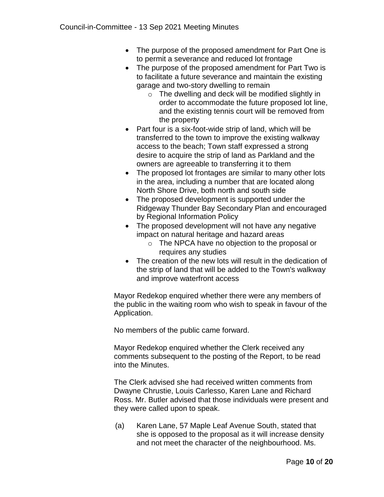- The purpose of the proposed amendment for Part One is to permit a severance and reduced lot frontage
- The purpose of the proposed amendment for Part Two is to facilitate a future severance and maintain the existing garage and two-story dwelling to remain
	- $\circ$  The dwelling and deck will be modified slightly in order to accommodate the future proposed lot line, and the existing tennis court will be removed from the property
- Part four is a six-foot-wide strip of land, which will be transferred to the town to improve the existing walkway access to the beach; Town staff expressed a strong desire to acquire the strip of land as Parkland and the owners are agreeable to transferring it to them
- The proposed lot frontages are similar to many other lots in the area, including a number that are located along North Shore Drive, both north and south side
- The proposed development is supported under the Ridgeway Thunder Bay Secondary Plan and encouraged by Regional Information Policy
- The proposed development will not have any negative impact on natural heritage and hazard areas
	- o The NPCA have no objection to the proposal or requires any studies
- The creation of the new lots will result in the dedication of the strip of land that will be added to the Town's walkway and improve waterfront access

Mayor Redekop enquired whether there were any members of the public in the waiting room who wish to speak in favour of the Application.

No members of the public came forward.

Mayor Redekop enquired whether the Clerk received any comments subsequent to the posting of the Report, to be read into the Minutes.

The Clerk advised she had received written comments from Dwayne Chrustie, Louis Carlesso, Karen Lane and Richard Ross. Mr. Butler advised that those individuals were present and they were called upon to speak.

(a) Karen Lane, 57 Maple Leaf Avenue South, stated that she is opposed to the proposal as it will increase density and not meet the character of the neighbourhood. Ms.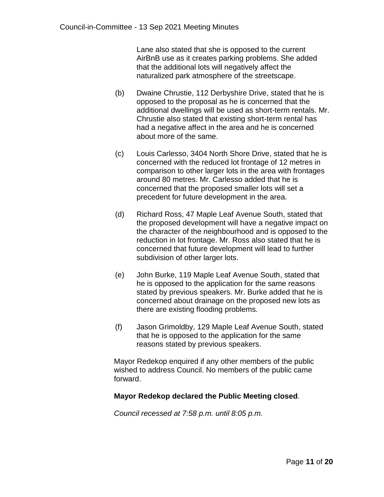Lane also stated that she is opposed to the current AirBnB use as it creates parking problems. She added that the additional lots will negatively affect the naturalized park atmosphere of the streetscape.

- (b) Dwaine Chrustie, 112 Derbyshire Drive, stated that he is opposed to the proposal as he is concerned that the additional dwellings will be used as short-term rentals. Mr. Chrustie also stated that existing short-term rental has had a negative affect in the area and he is concerned about more of the same.
- (c) Louis Carlesso, 3404 North Shore Drive, stated that he is concerned with the reduced lot frontage of 12 metres in comparison to other larger lots in the area with frontages around 80 metres. Mr. Carlesso added that he is concerned that the proposed smaller lots will set a precedent for future development in the area.
- (d) Richard Ross, 47 Maple Leaf Avenue South, stated that the proposed development will have a negative impact on the character of the neighbourhood and is opposed to the reduction in lot frontage. Mr. Ross also stated that he is concerned that future development will lead to further subdivision of other larger lots.
- (e) John Burke, 119 Maple Leaf Avenue South, stated that he is opposed to the application for the same reasons stated by previous speakers. Mr. Burke added that he is concerned about drainage on the proposed new lots as there are existing flooding problems.
- (f) Jason Grimoldby, 129 Maple Leaf Avenue South, stated that he is opposed to the application for the same reasons stated by previous speakers.

Mayor Redekop enquired if any other members of the public wished to address Council. No members of the public came forward.

#### **Mayor Redekop declared the Public Meeting closed**.

*Council recessed at 7:58 p.m. until 8:05 p.m.*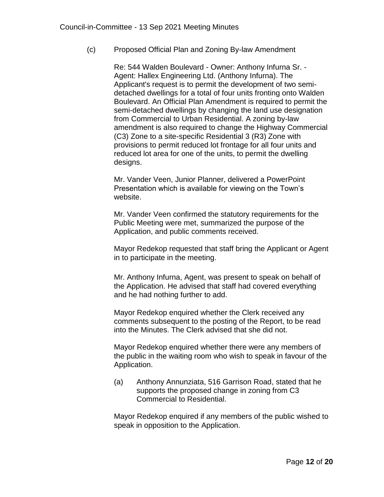(c) Proposed Official Plan and Zoning By-law Amendment

Re: 544 Walden Boulevard - Owner: Anthony Infurna Sr. - Agent: Hallex Engineering Ltd. (Anthony Infurna). The Applicant's request is to permit the development of two semidetached dwellings for a total of four units fronting onto Walden Boulevard. An Official Plan Amendment is required to permit the semi-detached dwellings by changing the land use designation from Commercial to Urban Residential. A zoning by-law amendment is also required to change the Highway Commercial (C3) Zone to a site-specific Residential 3 (R3) Zone with provisions to permit reduced lot frontage for all four units and reduced lot area for one of the units, to permit the dwelling designs.

Mr. Vander Veen, Junior Planner, delivered a PowerPoint Presentation which is available for viewing on the Town's website.

Mr. Vander Veen confirmed the statutory requirements for the Public Meeting were met, summarized the purpose of the Application, and public comments received.

Mayor Redekop requested that staff bring the Applicant or Agent in to participate in the meeting.

Mr. Anthony Infurna, Agent, was present to speak on behalf of the Application. He advised that staff had covered everything and he had nothing further to add.

Mayor Redekop enquired whether the Clerk received any comments subsequent to the posting of the Report, to be read into the Minutes. The Clerk advised that she did not.

Mayor Redekop enquired whether there were any members of the public in the waiting room who wish to speak in favour of the Application.

(a) Anthony Annunziata, 516 Garrison Road, stated that he supports the proposed change in zoning from C3 Commercial to Residential.

Mayor Redekop enquired if any members of the public wished to speak in opposition to the Application.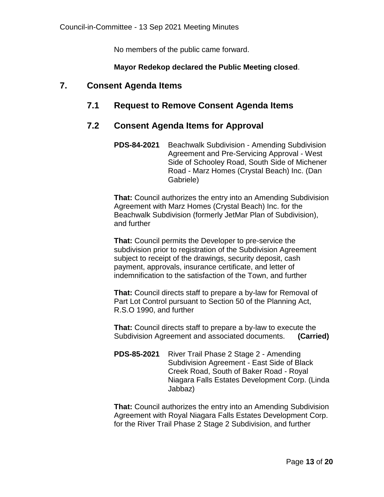No members of the public came forward.

#### **Mayor Redekop declared the Public Meeting closed**.

## **7. Consent Agenda Items**

# **7.1 Request to Remove Consent Agenda Items**

### **7.2 Consent Agenda Items for Approval**

**PDS-84-2021** Beachwalk Subdivision - Amending Subdivision Agreement and Pre-Servicing Approval - West Side of Schooley Road, South Side of Michener Road - Marz Homes (Crystal Beach) Inc. (Dan Gabriele)

**That:** Council authorizes the entry into an Amending Subdivision Agreement with Marz Homes (Crystal Beach) Inc. for the Beachwalk Subdivision (formerly JetMar Plan of Subdivision), and further

**That:** Council permits the Developer to pre-service the subdivision prior to registration of the Subdivision Agreement subject to receipt of the drawings, security deposit, cash payment, approvals, insurance certificate, and letter of indemnification to the satisfaction of the Town, and further

**That:** Council directs staff to prepare a by-law for Removal of Part Lot Control pursuant to Section 50 of the Planning Act, R.S.O 1990, and further

**That:** Council directs staff to prepare a by-law to execute the Subdivision Agreement and associated documents. **(Carried)**

**PDS-85-2021** River Trail Phase 2 Stage 2 - Amending Subdivision Agreement - East Side of Black Creek Road, South of Baker Road - Royal Niagara Falls Estates Development Corp. (Linda Jabbaz)

**That:** Council authorizes the entry into an Amending Subdivision Agreement with Royal Niagara Falls Estates Development Corp. for the River Trail Phase 2 Stage 2 Subdivision, and further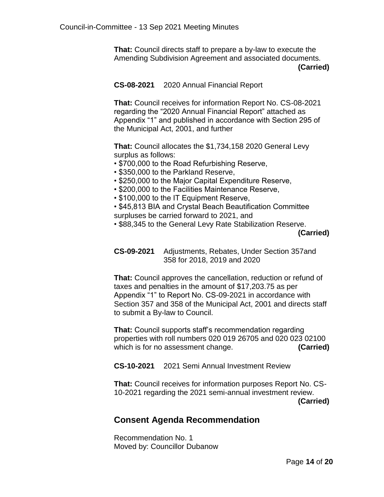**That:** Council directs staff to prepare a by-law to execute the Amending Subdivision Agreement and associated documents.  **(Carried)**

**CS-08-2021** 2020 Annual Financial Report

**That:** Council receives for information Report No. CS-08-2021 regarding the "2020 Annual Financial Report" attached as Appendix "1" and published in accordance with Section 295 of the Municipal Act, 2001, and further

**That:** Council allocates the \$1,734,158 2020 General Levy surplus as follows:

- \$700,000 to the Road Refurbishing Reserve,
- \$350,000 to the Parkland Reserve,
- \$250,000 to the Major Capital Expenditure Reserve,
- \$200,000 to the Facilities Maintenance Reserve,
- \$100,000 to the IT Equipment Reserve,
- \$45,813 BIA and Crystal Beach Beautification Committee surpluses be carried forward to 2021, and
- \$88,345 to the General Levy Rate Stabilization Reserve.

 **(Carried)**

**CS-09-2021** Adjustments, Rebates, Under Section 357and 358 for 2018, 2019 and 2020

**That:** Council approves the cancellation, reduction or refund of taxes and penalties in the amount of \$17,203.75 as per Appendix "1" to Report No. CS-09-2021 in accordance with Section 357 and 358 of the Municipal Act, 2001 and directs staff to submit a By-law to Council.

**That:** Council supports staff's recommendation regarding properties with roll numbers 020 019 26705 and 020 023 02100 which is for no assessment change. **(Carried)** 

**CS-10-2021** 2021 Semi Annual Investment Review

**That:** Council receives for information purposes Report No. CS-10-2021 regarding the 2021 semi-annual investment review.  **(Carried)**

# **Consent Agenda Recommendation**

Recommendation No. 1 Moved by: Councillor Dubanow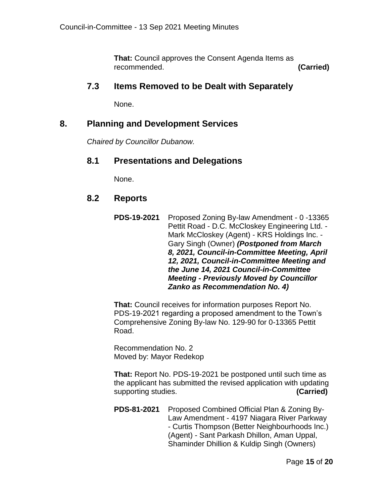**That:** Council approves the Consent Agenda Items as recommended. **(Carried)**

#### **7.3 Items Removed to be Dealt with Separately**

None.

#### **8. Planning and Development Services**

*Chaired by Councillor Dubanow.*

#### **8.1 Presentations and Delegations**

None.

#### **8.2 Reports**

**PDS-19-2021** Proposed Zoning By-law Amendment - 0 -13365 Pettit Road - D.C. McCloskey Engineering Ltd. - Mark McCloskey (Agent) - KRS Holdings Inc. - Gary Singh (Owner) *(Postponed from March 8, 2021, Council-in-Committee Meeting, April 12, 2021, Council-in-Committee Meeting and the June 14, 2021 Council-in-Committee Meeting - Previously Moved by Councillor Zanko as Recommendation No. 4)*

**That:** Council receives for information purposes Report No. PDS-19-2021 regarding a proposed amendment to the Town's Comprehensive Zoning By-law No. 129-90 for 0-13365 Pettit Road.

Recommendation No. 2 Moved by: Mayor Redekop

**That:** Report No. PDS-19-2021 be postponed until such time as the applicant has submitted the revised application with updating supporting studies. **(Carried)**

**PDS-81-2021** Proposed Combined Official Plan & Zoning By-Law Amendment - 4197 Niagara River Parkway - Curtis Thompson (Better Neighbourhoods Inc.) (Agent) - Sant Parkash Dhillon, Aman Uppal, Shaminder Dhillion & Kuldip Singh (Owners)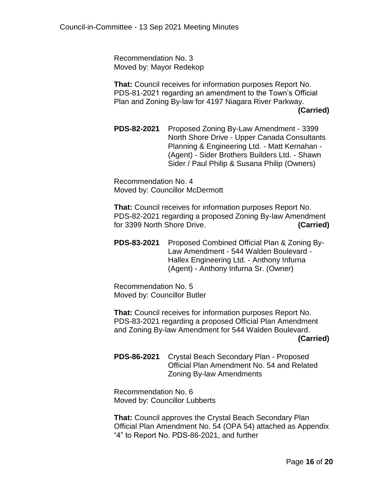Recommendation No. 3 Moved by: Mayor Redekop

**That:** Council receives for information purposes Report No. PDS-81-2021 regarding an amendment to the Town's Official Plan and Zoning By-law for 4197 Niagara River Parkway.  **[\(Carried\)](http://forterie.civicweb.net/FileStorage/2DF95E4BA7294FD9B97D8E5EC3DC615B-PDS-81-%202021%204197%20Niagara%20River%20Parkway%20-%20OPA%20ZBA%20.pdf)**

**PDS-82-2021** Proposed Zoning By-Law Amendment - 3399 North Shore Drive - Upper Canada Consultants Planning & Engineering Ltd. - Matt Kernahan - (Agent) - Sider Brothers Builders Ltd. - Shawn Sider / Paul Philip & Susana Philip (Owners)

Recommendation No. 4 Moved by: Councillor McDermott

**That:** Council receives for information purposes Report No. PDS-82-2021 regarding a proposed Zoning By-law Amendment for 3399 North Shore Drive. **(Carried)**

**PDS-83-2021** Proposed Combined Official Plan & Zoning By-Law Amendment - 544 Walden Boulevard - Hallex Engineering Ltd. - Anthony Infurna (Agent) - Anthony Infurna Sr. (Owner)

Recommendation No. 5 Moved by: Councillor Butler

**That:** Council receives for information purposes Report No. PDS-83-2021 regarding a proposed Official Plan Amendment and Zoning By-law Amendment for 544 Walden Boulevard.  **(Carried)**

**PDS-86-2021** Crystal Beach Secondary Plan - Proposed Official Plan Amendment No. 54 and Related Zoning By-law Amendments

Recommendation No. 6 Moved by: Councillor Lubberts

**That:** Council approves the Crystal Beach Secondary Plan Official Plan Amendment No. 54 (OPA 54) attached as Appendix "4" to Report No. PDS-86-2021, and further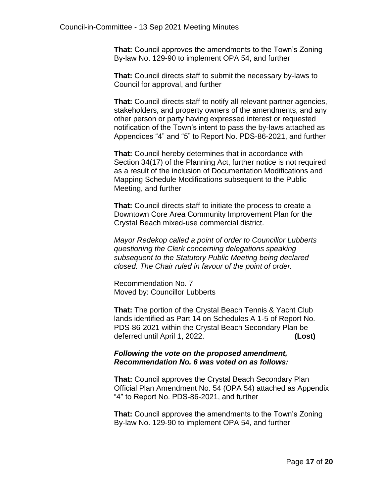**That:** Council approves the amendments to the Town's Zoning By-law No. 129-90 to implement OPA 54, and further

**That:** Council directs staff to submit the necessary by-laws to Council for approval, and further

**That:** Council directs staff to notify all relevant partner agencies, stakeholders, and property owners of the amendments, and any other person or party having expressed interest or requested notification of the Town's intent to pass the by-laws attached as Appendices "4" and "5" to Report No. PDS-86-2021, and further

**That:** Council hereby determines that in accordance with Section 34(17) of the Planning Act, further notice is not required as a result of the inclusion of Documentation Modifications and Mapping Schedule Modifications subsequent to the Public Meeting, and further

**That:** Council directs staff to initiate the process to create a Downtown Core Area Community Improvement Plan for the Crystal Beach mixed-use commercial district.

*Mayor Redekop called a point of order to Councillor Lubberts questioning the Clerk concerning delegations speaking subsequent to the Statutory Public Meeting being declared closed. The Chair ruled in favour of the point of order.* 

Recommendation No. 7 Moved by: Councillor Lubberts

**That:** The portion of the Crystal Beach Tennis & Yacht Club lands identified as Part 14 on Schedules A 1-5 of Report No. PDS-86-2021 within the Crystal Beach Secondary Plan be deferred until April 1, 2022. **(Lost)**

#### *Following the vote on the proposed amendment, Recommendation No. 6 was voted on as follows:*

**That:** Council approves the Crystal Beach Secondary Plan Official Plan Amendment No. 54 (OPA 54) attached as Appendix "4" to Report No. PDS-86-2021, and further

**That:** Council approves the amendments to the Town's Zoning By-law No. 129-90 to implement OPA 54, and further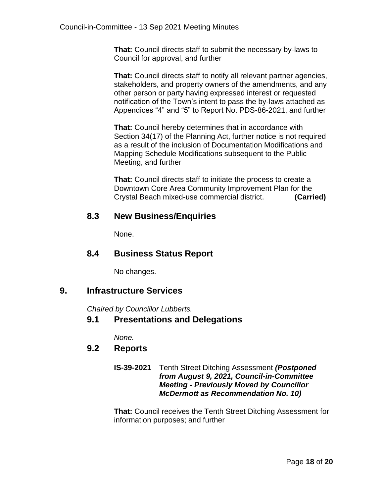**That:** Council directs staff to submit the necessary by-laws to Council for approval, and further

**That:** Council directs staff to notify all relevant partner agencies, stakeholders, and property owners of the amendments, and any other person or party having expressed interest or requested notification of the Town's intent to pass the by-laws attached as Appendices "4" and "5" to Report No. PDS-86-2021, and further

**That:** Council hereby determines that in accordance with Section 34(17) of the Planning Act, further notice is not required as a result of the inclusion of Documentation Modifications and Mapping Schedule Modifications subsequent to the Public Meeting, and further

**That:** Council directs staff to initiate the process to create a Downtown Core Area Community Improvement Plan for the Crystal Beach mixed-use commercial district. **(Carried)**

# **8.3 New Business/Enquiries**

None.

## **8.4 Business Status Report**

No changes.

# **9. Infrastructure Services**

*Chaired by Councillor Lubberts.*

### **9.1 Presentations and Delegations**

*None.* 

# **9.2 Reports**

**IS-39-2021** Tenth Street Ditching Assessment *(Postponed from August 9, 2021, Council-in-Committee Meeting - Previously Moved by Councillor McDermott as Recommendation No. 10)*

**That:** Council receives the Tenth Street Ditching Assessment for information purposes; and further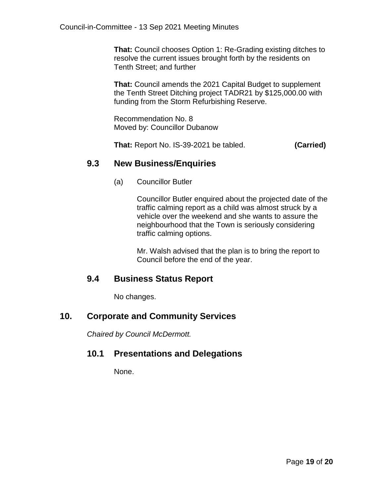**That:** Council chooses Option 1: Re-Grading existing ditches to resolve the current issues brought forth by the residents on Tenth Street; and further

**That:** Council amends the 2021 Capital Budget to supplement the Tenth Street Ditching project TADR21 by \$125,000.00 with funding from the Storm Refurbishing Reserve.

Recommendation No. 8 Moved by: Councillor Dubanow

**That:** Report No. IS-39-2021 be tabled. **(Carried)**

## **9.3 New Business/Enquiries**

(a) Councillor Butler

Councillor Butler enquired about the projected date of the traffic calming report as a child was almost struck by a vehicle over the weekend and she wants to assure the neighbourhood that the Town is seriously considering traffic calming options.

Mr. Walsh advised that the plan is to bring the report to Council before the end of the year.

# **9.4 Business Status Report**

No changes.

# **10. Corporate and Community Services**

*Chaired by Council McDermott.*

### **10.1 Presentations and Delegations**

None.